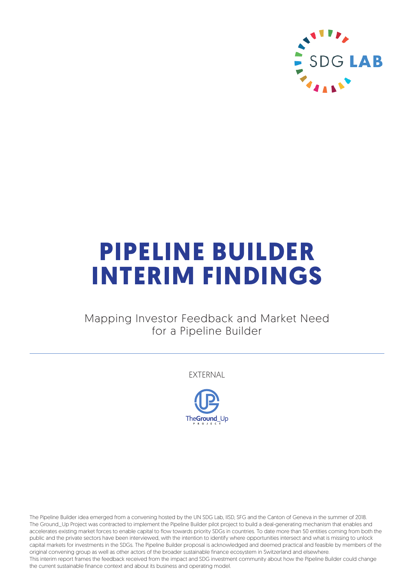

# **PIPELINE BUILDER INTERIM FINDINGS**

# Mapping Investor Feedback and Market Need for a Pipeline Builder

EXTERNAL



The Pipeline Builder idea emerged from a convening hosted by the UN SDG Lab, IISD, SFG and the Canton of Geneva in the summer of 2018. The Ground\_Up Project was contracted to implement the Pipeline Builder pilot project to build a deal-generating mechanism that enables and accelerates existing market forces to enable capital to flow towards priority SDGs in countries. To date more than 50 entities coming from both the public and the private sectors have been interviewed, with the intention to identify where opportunities intersect and what is missing to unlock capital markets for investments in the SDGs. The Pipeline Builder proposal is acknowledged and deemed practical and feasible by members of the original convening group as well as other actors of the broader sustainable finance ecosystem in Switzerland and elsewhere. This interim report frames the feedback received from the impact and SDG investment community about how the Pipeline Builder could change the current sustainable finance context and about its business and operating model.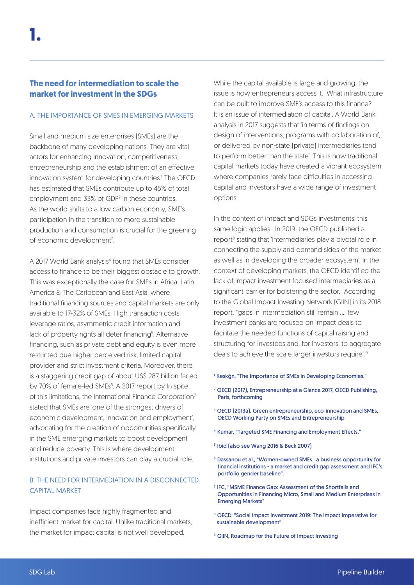# **The need for intermediation to scale the market for investment in the SDGs**

## A. THE IMPORTANCE OF SMES IN EMERGING MARKETS

Small and medium size enterprises (SMEs) are the backbone of many developing nations. They are vital actors for enhancing innovation, competitiveness, entrepreneurship and the establishment of an effective innovation system for developing countries.<sup>1</sup> The OECD has estimated that SMEs contribute up to 45% of total employment and 33% of GDP<sup>2</sup> in these countries. As the world shifts to a low carbon economy, SME's participation in the transition to more sustainable production and consumption is crucial for the greening of economic development<sup>3</sup>.

A 2017 World Bank analysis<sup>4</sup> found that SMEs consider access to finance to be their biggest obstacle to growth. This was exceptionally the case for SMEs in Africa, Latin America & The Caribbean and East Asia, where traditional financing sources and capital markets are only available to 17-32% of SMEs. High transaction costs, leverage ratios, asymmetric credit information and lack of property rights all deter financing<sup>5</sup>. Alternative financing, such as private debt and equity is even more restricted due higher perceived risk, limited capital provider and strict investment criteria. Moreover, there is a staggering credit gap of about US\$ 287 billion faced by 70% of female-led SMEs<sup>6</sup>. A 2017 report by In spite of this limitations, the International Finance Corporation<sup>7</sup> stated that SMEs are 'one of the strongest drivers of economic development, innovation and employment', advocating for the creation of opportunities specifically in the SME emerging markets to boost development and reduce poverty. This is where development institutions and private investors can play a crucial role.

## B. THE NEED FOR INTERMEDIATION IN A DISCONNECTED CAPITAL MARKET

Impact companies face highly fragmented and inefficient market for capital. Unlike traditional markets, the market for impact capital is not well developed.

While the capital available is large and growing, the issue is how entrepreneurs access it. What infrastructure can be built to improve SME's access to this finance? It is an issue of intermediation of capital. A World Bank analysis in 2017 suggests that 'in terms of findings on design of interventions, programs with collaboration of, or delivered by non-state (private) intermediaries tend to perform better than the state'. This is how traditional capital markets today have created a vibrant ecosystem where companies rarely face difficulties in accessing capital and investors have a wide range of investment options.

In the context of impact and SDGs investments, this same logic applies. In 2019, the OECD published a report<sup>8</sup> stating that 'intermediaries play a pivotal role in connecting the supply and demand sides of the market as well as in developing the broader ecosystem'. In the context of developing markets, the OECD identified the lack of impact investment focused-intermediaries as a significant barrier for bolstering the sector. According to the Global Impact Investing Network (GIIN) in its 2018 report, "gaps in intermediation still remain …. few investment banks are focused on impact deals to facilitate the needed functions of capital raising and structuring for investees and, for investors, to aggregate deals to achieve the scale larger investors require".<sup>9</sup>

- <sup>1</sup> Keskġn, "The Importance of SMEs in Developing Economies."
- 2 OECD (2017), Entrepreneurship at a Glance 2017, OECD Publishing, Paris, forthcoming
- 3 OECD (2013a), Green entrepreneurship, eco-innovation and SMEs, OECD Working Party on SMEs and Entrepreneurship
- 4 Kumar, "Targeted SME Financing and Employment Effects."
- 5 Ibid (also see Wang 2016 & Beck 2007)
- 6 Dassanou et al., "Women-owned SMEs : a business opportunity for financial institutions - a market and credit gap assessment and IFC's portfolio gender baseline".
- 7 IFC, "MSME Finance Gap: Assessment of the Shortfalls and Opportunities in Financing Micro, Small and Medium Enterprises in Emerging Markets"
- 8 OECD, "Social Impact Investment 2019: The Impact Imperative for sustainable development"
- <sup>9</sup> GIIN, Roadmap for the Future of Impact Investing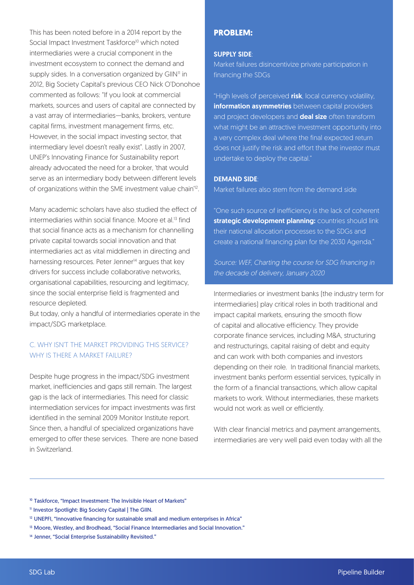This has been noted before in a 2014 report by the Social Impact Investment Taskforce<sup>10</sup> which noted intermediaries were a crucial component in the investment ecosystem to connect the demand and supply sides. In a conversation organized by GIIN<sup>11</sup> in 2012, Big Society Capital's previous CEO Nick O'Donohoe commented as follows: "If you look at commercial markets, sources and users of capital are connected by a vast array of intermediaries—banks, brokers, venture capital firms, investment management firms, etc. However, in the social impact investing sector, that intermediary level doesn't really exist". Lastly in 2007, UNEP's Innovating Finance for Sustainability report already advocated the need for a broker, 'that would serve as an intermediary body between different levels of organizations within the SME investment value chain'12.

Many academic scholars have also studied the effect of intermediaries within social finance. Moore et al.<sup>13</sup> find that social finance acts as a mechanism for channelling private capital towards social innovation and that intermediaries act as vital middlemen in directing and harnessing resources. Peter Jenner<sup>14</sup> argues that key drivers for success include collaborative networks, organisational capabilities, resourcing and legitimacy, since the social enterprise field is fragmented and resource depleted.

But today, only a handful of intermediaries operate in the impact/SDG marketplace.

## C. WHY ISN'T THE MARKET PROVIDING THIS SERVICE? WHY IS THERE A MARKET FAILURE?

Despite huge progress in the impact/SDG investment market, inefficiencies and gaps still remain. The largest gap is the lack of intermediaries. This need for classic intermediation services for impact investments was first identified in the seminal 2009 Monitor Institute report. Since then, a handful of specialized organizations have emerged to offer these services. There are none based in Switzerland.

# **PROBLEM:**

## SUPPLY SIDE:

Market failures disincentivize private participation in financing the SDGs

"High levels of perceived risk, local currency volatility, information asymmetries between capital providers and project developers and **deal size** often transform what might be an attractive investment opportunity into a very complex deal where the final expected return does not justify the risk and effort that the investor must undertake to deploy the capital."

## DEMAND SIDE:

Market failures also stem from the demand side

"One such source of inefficiency is the lack of coherent strategic development planning: countries should link their national allocation processes to the SDGs and create a national financing plan for the 2030 Agenda."

Source: WEF, Charting the course for SDG financing in the decade of delivery, January 2020

Intermediaries or investment banks (the industry term for intermediaries) play critical roles in both traditional and impact capital markets, ensuring the smooth flow of capital and allocative efficiency. They provide corporate finance services, including M&A, structuring and restructurings, capital raising of debt and equity and can work with both companies and investors depending on their role. In traditional financial markets, investment banks perform essential services, typically in the form of a financial transactions, which allow capital markets to work. Without intermediaries, these markets would not work as well or efficiently.

With clear financial metrics and payment arrangements, intermediaries are very well paid even today with all the

<sup>&</sup>lt;sup>10</sup> Taskforce, "Impact Investment: The Invisible Heart of Markets"

<sup>&</sup>lt;sup>11</sup> Investor Spotlight: Big Society Capital | The GIIN.

<sup>&</sup>lt;sup>12</sup> UNEPFI, "Innovative financing for sustainable small and medium enterprises in Africa"

<sup>&</sup>lt;sup>13</sup> Moore, Westley, and Brodhead, "Social Finance Intermediaries and Social Innovation."

<sup>&</sup>lt;sup>14</sup> Jenner, "Social Enterprise Sustainability Revisited."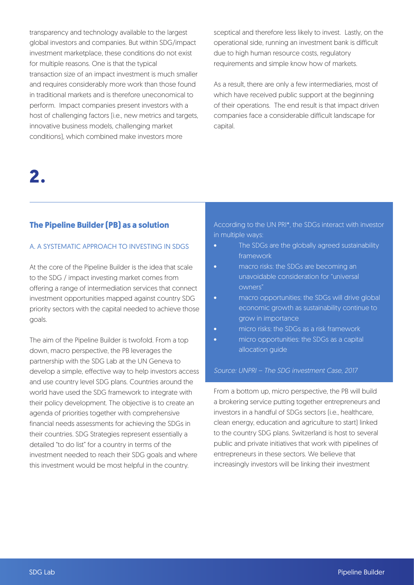transparency and technology available to the largest global investors and companies. But within SDG/impact investment marketplace, these conditions do not exist for multiple reasons. One is that the typical transaction size of an impact investment is much smaller and requires considerably more work than those found in traditional markets and is therefore uneconomical to perform. Impact companies present investors with a host of challenging factors (i.e., new metrics and targets, innovative business models, challenging market conditions), which combined make investors more

sceptical and therefore less likely to invest. Lastly, on the operational side, running an investment bank is difficult due to high human resource costs, regulatory requirements and simple know how of markets.

As a result, there are only a few intermediaries, most of which have received public support at the beginning of their operations. The end result is that impact driven companies face a considerable difficult landscape for capital.

# **2.**

## **The Pipeline Builder (PB) as a solution**

## A. A SYSTEMATIC APPROACH TO INVESTING IN SDGS

At the core of the Pipeline Builder is the idea that scale to the SDG / impact investing market comes from offering a range of intermediation services that connect investment opportunities mapped against country SDG priority sectors with the capital needed to achieve those goals.

The aim of the Pipeline Builder is twofold. From a top down, macro perspective, the PB leverages the partnership with the SDG Lab at the UN Geneva to develop a simple, effective way to help investors access and use country level SDG plans. Countries around the world have used the SDG framework to integrate with their policy development. The objective is to create an agenda of priorities together with comprehensive financial needs assessments for achieving the SDGs in their countries. SDG Strategies represent essentially a detailed "to do list" for a country in terms of the investment needed to reach their SDG goals and where this investment would be most helpful in the country.

According to the UN PRI\*, the SDGs interact with investor in multiple ways:

- The SDGs are the globally agreed sustainability framework
- macro risks: the SDGs are becoming an unavoidable consideration for "universal owners"
- macro opportunities: the SDGs will drive global economic growth as sustainability continue to grow in importance
- micro risks: the SDGs as a risk framework
- micro opportunities: the SDGs as a capital allocation guide

## Source: UNPRI – The SDG investment Case, 2017

From a bottom up, micro perspective, the PB will build a brokering service putting together entrepreneurs and investors in a handful of SDGs sectors (i.e., healthcare, clean energy, education and agriculture to start) linked to the country SDG plans. Switzerland is host to several public and private initiatives that work with pipelines of entrepreneurs in these sectors. We believe that increasingly investors will be linking their investment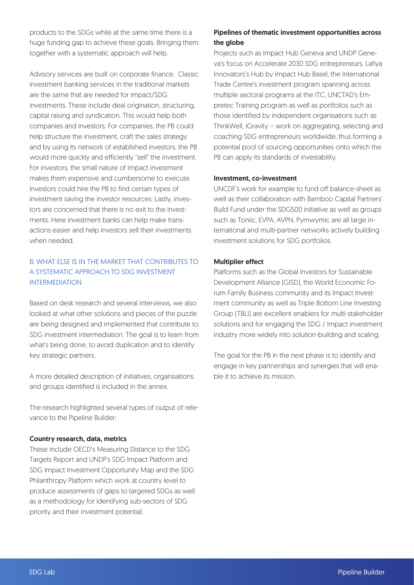products to the SDGs while at the same time there is a huge funding gap to achieve these goals. Bringing them together with a systematic approach will help.

Advisory services are built on corporate finance. Classic investment banking services in the traditional markets are the same that are needed for impact/SDG investments. These include deal origination, structuring, capital raising and syndication. This would help both companies and investors. For companies, the PB could help structure the investment, craft the sales strategy and by using its network of established investors, the PB would more quickly and efficiently "sell" the investment. For investors, the small nature of impact investment makes them expensive and cumbersome to execute. Investors could hire the PB to find certain types of investment saving the investor resources. Lastly, investors are concerned that there is no exit to the investments. Here investment banks can help make transactions easier and help investors sell their investments when needed.

# B. WHAT ELSE IS IN THE MARKET THAT CONTRIBUTES TO A SYSTEMATIC APPROACH TO SDG INVESTMENT INTERMEDIATION

Based on desk research and several interviews, we also looked at what other solutions and pieces of the puzzle are being designed and implemented that contribute to SDG investment intermediation. The goal is to learn from what's being done, to avoid duplication and to identify key strategic partners.

A more detailed description of initiatives, organisations and groups identified is included in the annex.

The research highlighted several types of output of relevance to the Pipeline Builder:

### Country research, data, metrics

These include OECD's Measuring Distance to the SDG Targets Report and UNDP's SDG Impact Platform and SDG Impact Investment Opportunity Map and the SDG Philanthropy Platform which work at country level to produce assessments of gaps to targeted SDGs as well as a methodology for identifying sub-sectors of SDG priority and their investment potential.

## Pipelines of thematic investment opportunities across the globe

Projects such as Impact Hub Geneva and UNDP Geneva's focus on Accelerate 2030 SDG entrepreneurs, Lafiya Innovators's Hub by Impact Hub Basel, the International Trade Centre's investment program spanning across multiple sectoral programs at the ITC, UNCTAD's Empretec Training program as well as portfolios such as those identified by independent organisations such as ThinkWell, iGravity – work on aggregating, selecting and coaching SDG entrepreneurs worldwide, thus forming a potential pool of sourcing opportunities onto which the PB can apply its standards of investability.

#### Investment, co-investment

UNCDF's work for example to fund off balance-sheet as well as their collaboration with Bamboo Capital Partners' Build Fund under the SDG500 initiative as well as groups such as Toniic, EVPA, AVPN, Pymwymic are all large international and multi-partner networks actively building investment solutions for SDG portfolios.

### Multiplier effect

Platforms such as the Global Investors for Sustainable Development Alliance (GISD), the World Economic Forum Family Business community and its Impact Investment community as well as Triple Bottom Line Investing Group (TBLI) are excellent enablers for multi-stakeholder solutions and for engaging the SDG / Impact investment industry more widely into solution-building and scaling.

The goal for the PB in the next phase is to identify and engage in key partnerships and synergies that will enable it to achieve its mission.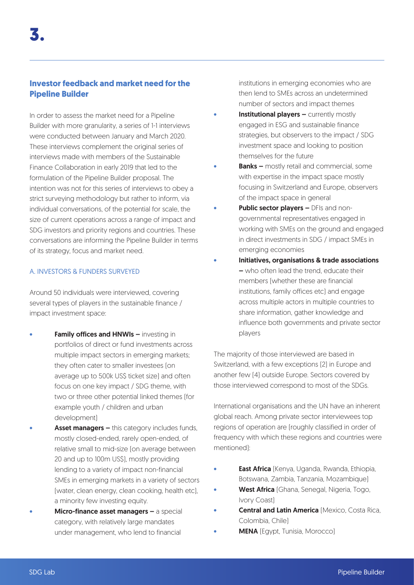# **Investor feedback and market need for the Pipeline Builder**

In order to assess the market need for a Pipeline Builder with more granularity, a series of 1-1 interviews were conducted between January and March 2020. These interviews complement the original series of interviews made with members of the Sustainable Finance Collaboration in early 2019 that led to the formulation of the Pipeline Builder proposal. The intention was not for this series of interviews to obey a strict surveying methodology but rather to inform, via individual conversations, of the potential for scale, the size of current operations across a range of impact and SDG investors and priority regions and countries. These conversations are informing the Pipeline Builder in terms of its strategy, focus and market need.

### A. INVESTORS & FUNDERS SURVEYED

Around 50 individuals were interviewed, covering several types of players in the sustainable finance / impact investment space:

- **Family offices and HNWIs investing in** portfolios of direct or fund investments across multiple impact sectors in emerging markets; they often cater to smaller investees (on average up to 500k US\$ ticket size) and often focus on one key impact / SDG theme, with two or three other potential linked themes (for example youth / children and urban development)
- Asset managers this category includes funds, mostly closed-ended, rarely open-ended, of relative small to mid-size (on average between 20 and up to 100m US\$), mostly providing lending to a variety of impact non-financial SMEs in emerging markets in a variety of sectors (water, clean energy, clean cooking, health etc), a minority few investing equity.
- Micro-finance asset managers a special category, with relatively large mandates under management, who lend to financial

institutions in emerging economies who are then lend to SMEs across an undetermined number of sectors and impact themes

- **Institutional players currently mostly** engaged in ESG and sustainable finance strategies, but observers to the impact / SDG investment space and looking to position themselves for the future
- **Banks –** mostly retail and commercial, some with expertise in the impact space mostly focusing in Switzerland and Europe, observers of the impact space in general
- **Public sector players DFIs and non**governmental representatives engaged in working with SMEs on the ground and engaged in direct investments in SDG / impact SMEs in emerging economies
- Initiatives, organisations & trade associations – who often lead the trend, educate their members (whether these are financial institutions, family offices etc) and engage across multiple actors in multiple countries to share information, gather knowledge and influence both governments and private sector players

The majority of those interviewed are based in Switzerland, with a few exceptions (2) in Europe and another few (4) outside Europe. Sectors covered by those interviewed correspond to most of the SDGs.

International organisations and the UN have an inherent global reach. Among private sector interviewees top regions of operation are (roughly classified in order of frequency with which these regions and countries were mentioned):

- **East Africa** (Kenya, Uganda, Rwanda, Ethiopia, Botswana, Zambia, Tanzania, Mozambique)
- West Africa (Ghana, Senegal, Nigeria, Togo, Ivory Coast)
- **Central and Latin America (Mexico, Costa Rica,** Colombia, Chile)
- **MENA** (Egypt, Tunisia, Morocco)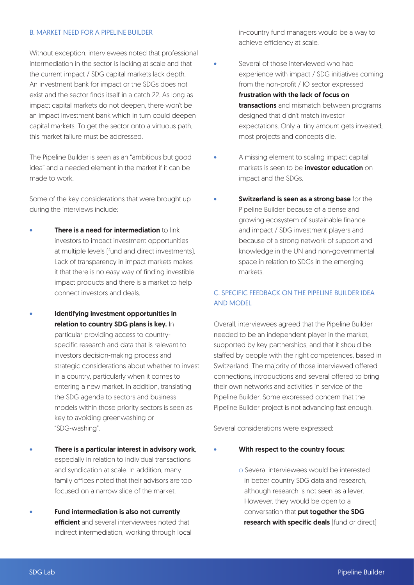#### B. MARKET NEED FOR A PIPELINE BUILDER

Without exception, interviewees noted that professional intermediation in the sector is lacking at scale and that the current impact / SDG capital markets lack depth. An investment bank for impact or the SDGs does not exist and the sector finds itself in a catch 22. As long as impact capital markets do not deepen, there won't be an impact investment bank which in turn could deepen capital markets. To get the sector onto a virtuous path, this market failure must be addressed.

The Pipeline Builder is seen as an "ambitious but good idea" and a needed element in the market if it can be made to work.

Some of the key considerations that were brought up during the interviews include:

- **There is a need for intermediation to link** investors to impact investment opportunities at multiple levels (fund and direct investments). Lack of transparency in impact markets makes it that there is no easy way of finding investible impact products and there is a market to help connect investors and deals.
- Identifying investment opportunities in relation to country SDG plans is key. In particular providing access to countryspecific research and data that is relevant to investors decision-making process and strategic considerations about whether to invest in a country, particularly when it comes to entering a new market. In addition, translating the SDG agenda to sectors and business models within those priority sectors is seen as key to avoiding greenwashing or "SDG-washing".
- There is a particular interest in advisory work, especially in relation to individual transactions and syndication at scale. In addition, many family offices noted that their advisors are too focused on a narrow slice of the market.
- Fund intermediation is also not currently efficient and several interviewees noted that indirect intermediation, working through local

in-country fund managers would be a way to achieve efficiency at scale.

- Several of those interviewed who had experience with impact / SDG initiatives coming from the non-profit / IO sector expressed frustration with the lack of focus on transactions and mismatch between programs designed that didn't match investor expectations. Only a tiny amount gets invested, most projects and concepts die.
- A missing element to scaling impact capital markets is seen to be **investor education** on impact and the SDGs.
- Switzerland is seen as a strong base for the Pipeline Builder because of a dense and growing ecosystem of sustainable finance and impact / SDG investment players and because of a strong network of support and knowledge in the UN and non-governmental space in relation to SDGs in the emerging markets.

# C. SPECIFIC FEEDBACK ON THE PIPELINE BUILDER IDEA AND MODEL

Overall, interviewees agreed that the Pipeline Builder needed to be an independent player in the market, supported by key partnerships, and that it should be staffed by people with the right competences, based in Switzerland. The majority of those interviewed offered connections, introductions and several offered to bring their own networks and activities in service of the Pipeline Builder. Some expressed concern that the Pipeline Builder project is not advancing fast enough.

Several considerations were expressed:

- With respect to the country focus:
	- o Several interviewees would be interested in better country SDG data and research, although research is not seen as a lever. However, they would be open to a conversation that put together the SDG research with specific deals [fund or direct]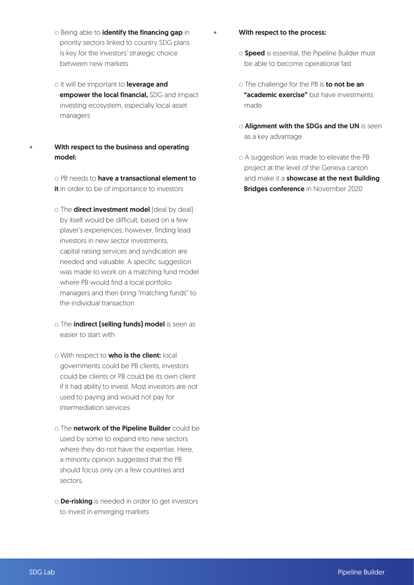- o Being able to identify the financing gap in priority sectors linked to country SDG plans is key for the investors' strategic choice between new markets
- o It will be important to leverage and empower the local financial, SDG and impact investing ecosystem, especially local asset managers
- With respect to the business and operating model:

o PB needs to **have a transactional element to** it in order to be of importance to investors

- o The **direct investment model** [deal by deal] by itself would be difficult, based on a few player's experiences; however, finding lead investors in new sector investments, capital raising services and syndication are needed and valuable. A specific suggestion was made to work on a matching fund model where PB would find a local portfolio managers and then bring "matching funds" to the individual transaction
- o The *indirect* (selling funds) model is seen as easier to start with
- o With respect to **who is the client:** local governments could be PB clients, investors could be clients or PB could be its own client if it had ability to invest. Most investors are not used to paying and would not pay for intermediation services
- o The network of the Pipeline Builder could be used by some to expand into new sectors where they do not have the expertise. Here, a minority opinion suggested that the PB should focus only on a few countries and sectors.
- o **De-risking** is needed in order to get investors to invest in emerging markets
- With respect to the process:
	- o **Speed** is essential, the Pipeline Builder must be able to become operational fast
	- o The challenge for the PB is to not be an **"academic exercise"** but have investments made
	- **O Alignment with the SDGs and the UN** is seen as a key advantage
	- o A suggestion was made to elevate the PB project at the level of the Geneva canton and make it a showcase at the next Building **Bridges conference** in November 2020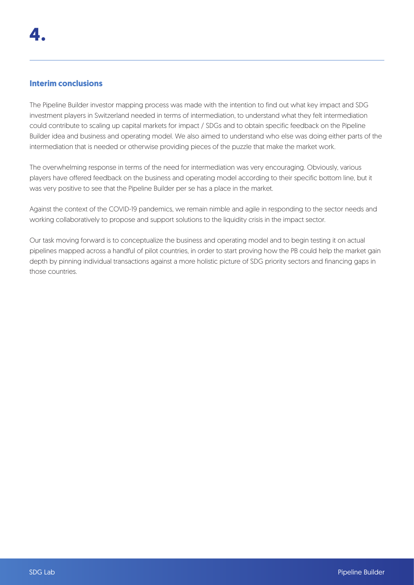# **Interim conclusions**

The Pipeline Builder investor mapping process was made with the intention to find out what key impact and SDG investment players in Switzerland needed in terms of intermediation, to understand what they felt intermediation could contribute to scaling up capital markets for impact / SDGs and to obtain specific feedback on the Pipeline Builder idea and business and operating model. We also aimed to understand who else was doing either parts of the intermediation that is needed or otherwise providing pieces of the puzzle that make the market work.

The overwhelming response in terms of the need for intermediation was very encouraging. Obviously, various players have offered feedback on the business and operating model according to their specific bottom line, but it was very positive to see that the Pipeline Builder per se has a place in the market.

Against the context of the COVID-19 pandemics, we remain nimble and agile in responding to the sector needs and working collaboratively to propose and support solutions to the liquidity crisis in the impact sector.

Our task moving forward is to conceptualize the business and operating model and to begin testing it on actual pipelines mapped across a handful of pilot countries, in order to start proving how the PB could help the market gain depth by pinning individual transactions against a more holistic picture of SDG priority sectors and financing gaps in those countries.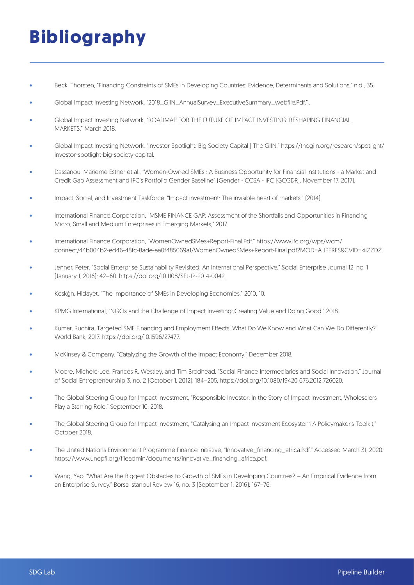# **Bibliography**

- Beck, Thorsten, "Financing Constraints of SMEs in Developing Countries: Evidence, Determinants and Solutions," n.d., 35.
- Global Impact Investing Network, "2018\_GIIN\_AnnualSurvey\_ExecutiveSummary\_webfile.Pdf."..
- Global Impact Investing Network, "ROADMAP FOR THE FUTURE OF IMPACT INVESTING: RESHAPING FINANCIAL MARKETS," March 2018.
- Global Impact Investing Network, "Investor Spotlight: Big Society Capital | The GIIN." https://thegiin.org/research/spotlight/ investor-spotlight-big-society-capital.
- Dassanou, Marieme Esther et al., "Women-Owned SMEs : A Business Opportunity for Financial Institutions a Market and Credit Gap Assessment and IFC's Portfolio Gender Baseline" (Gender - CCSA - IFC (GCGDR), November 17, 2017),
- Impact, Social, and Investment Taskforce, "Impact investment: The invisible heart of markets." (2014).
- International Finance Corporation, "MSME FINANCE GAP: Assessment of the Shortfalls and Opportunities in Financing Micro, Small and Medium Enterprises in Emerging Markets," 2017.
- International Finance Corporation, "WomenOwnedSMes+Report-Final.Pdf." https://www.ifc.org/wps/wcm/ connect/44b004b2-ed46-48fc-8ade-aa0f485069a1/WomenOwnedSMes+Report-Final.pdf?MOD=A JPERES&CVID=kiiZZDZ.
- Jenner, Peter. "Social Enterprise Sustainability Revisited: An International Perspective." Social Enterprise Journal 12, no. 1 (January 1, 2016): 42–60. https://doi.org/10.1108/SEJ-12-2014-0042.
- Keskġn, Hidayet. "The Importance of SMEs in Developing Economies," 2010, 10.
- KPMG International, "NGOs and the Challenge of Impact Investing: Creating Value and Doing Good," 2018.
- Kumar, Ruchira. Targeted SME Financing and Employment Effects: What Do We Know and What Can We Do Differently? World Bank, 2017. https://doi.org/10.1596/27477.
- McKinsey & Company, "Catalyzing the Growth of the Impact Economy," December 2018.
- Moore, Michele-Lee, Frances R. Westley, and Tim Brodhead. "Social Finance Intermediaries and Social Innovation." Journal of Social Entrepreneurship 3, no. 2 (October 1, 2012): 184–205. https://doi.org/10.1080/19420 676.2012.726020.
- The Global Steering Group for Impact Investment, "Responsible Investor: In the Story of Impact Investment, Wholesalers Play a Starring Role," September 10, 2018.
- The Global Steering Group for Impact Investment, "Catalysing an Impact Investment Ecosystem A Policymaker's Toolkit," October 2018.
- The United Nations Environment Programme Finance Initiative, "Innovative\_financing\_africa.Pdf." Accessed March 31, 2020. https://www.unepfi.org/fileadmin/documents/innovative\_financing\_africa.pdf.
- Wang, Yao. "What Are the Biggest Obstacles to Growth of SMEs in Developing Countries? An Empirical Evidence from an Enterprise Survey." Borsa Istanbul Review 16, no. 3 (September 1, 2016): 167–76.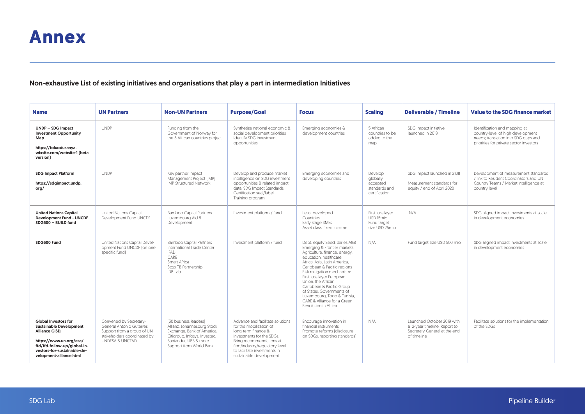# Non-exhaustive List of existing initiatives and organisations that play a part in intermediation Initiatives

| <b>Name</b>                                                                                                                                                                                          | <b>UN Partners</b>                                                                                                                 | <b>Non-UN Partners</b>                                                                                                                                                  | <b>Purpose/Goal</b>                                                                                                                                                                                                                      | <b>Focus</b>                                                                                                                                                                                                                                                                                                                                                                                                             | <b>Scaling</b>                                                    | <b>Deliverable / Timeline</b>                                                                             | <b>Value to the SDG finance market</b>                                                                                                                |
|------------------------------------------------------------------------------------------------------------------------------------------------------------------------------------------------------|------------------------------------------------------------------------------------------------------------------------------------|-------------------------------------------------------------------------------------------------------------------------------------------------------------------------|------------------------------------------------------------------------------------------------------------------------------------------------------------------------------------------------------------------------------------------|--------------------------------------------------------------------------------------------------------------------------------------------------------------------------------------------------------------------------------------------------------------------------------------------------------------------------------------------------------------------------------------------------------------------------|-------------------------------------------------------------------|-----------------------------------------------------------------------------------------------------------|-------------------------------------------------------------------------------------------------------------------------------------------------------|
| <b>UNDP - SDG Impact</b><br><b>Investment Opportunity</b><br>Map<br>https://toluodusanya.<br>wixsite.com/website-1 [beta<br>version]                                                                 | <b>UNDP</b>                                                                                                                        | Funding from the<br>Government of Norway for<br>the 5 African countries project                                                                                         | Synthetize national economic &<br>social development priorities<br>Identify SDG investment<br>opportunities                                                                                                                              | Emerging economies &<br>development countries                                                                                                                                                                                                                                                                                                                                                                            | 5 African<br>countries to be<br>added to the<br>map               | SDG Impact initiative<br>launched in 2018                                                                 | Identification and mapping at<br>country-level of high development<br>needs; translation into SDG gaps and<br>priorities for private sector investors |
| <b>SDG Impact Platform</b><br>https://sdgimpact.undp.<br>ora/                                                                                                                                        | <b>UNDP</b>                                                                                                                        | Key partner Impact<br>Management Project [IMP]<br><b>IMP Structured Network</b>                                                                                         | Develop and produce market<br>intelligence on SDG investment<br>opportunities & related impact<br>data. SDG Impact Standards<br>Certification seal/label<br>Training program                                                             | Emerging economies and<br>developing countries                                                                                                                                                                                                                                                                                                                                                                           | Develop<br>globally<br>accepted<br>standards and<br>certification | SDG Impact launched in 2108<br>Measurement standards for<br>equity / end of April 2020                    | Development of measurement standards<br>/ link to Resident Coordinators and UN<br>Country Teams / Market intelligence at<br>country level             |
| <b>United Nations Capital</b><br><b>Development Fund - UNCDF</b><br>SDG500 - BUILD fund                                                                                                              | United Nations Capital<br>Development Fund UNCDF                                                                                   | <b>Bamboo Capital Partners</b><br>Luxembourg Aid &<br>Development                                                                                                       | Investment platform / fund                                                                                                                                                                                                               | Least developed<br>Countries<br>Early stage SMEs<br>Asset class: fixed income                                                                                                                                                                                                                                                                                                                                            | First loss laver<br>USD 15mio<br>Fund target<br>size USD 75mio    | N/A                                                                                                       | SDG aligned impact investments at scale<br>in development economies                                                                                   |
| SDG500 Fund                                                                                                                                                                                          | United Nations Capital Devel-<br>opment Fund UNCDF (on one<br>specific fund)                                                       | <b>Bamboo Capital Partners</b><br>International Trade Center<br><b>IFAD</b><br>CARE<br>Smart Africa<br>Stop TB Partnership<br><b>IDB Lab</b>                            | Investment platform / fund                                                                                                                                                                                                               | Debt, equity Seed, Series A&B<br>Emerging & Frontier markets<br>Agriculture, finance, energy,<br>education, healthcare.<br>Africa, Asia, Latin America,<br>Caribbean & Pacific regions<br>Risk mitigation mechanism:<br>First loss layer European<br>Union, the African.<br>Caribbean & Pacific Group<br>of States. Governments of<br>Luxembourg, Togo & Tunisia,<br>CARE & Alliance for a Green<br>Revolution in Africa | N/A                                                               | Fund target size USD 500 mio                                                                              | SDG aligned impact investments at scale<br>in development economies                                                                                   |
| <b>Global Investors for</b><br><b>Sustainable Development</b><br>Alliance GISD.<br>https://www.un.org/esa/<br>ffd/ffd-follow-up/global-in-<br>vestors-for-sustainable-de-<br>velopment-alliance.html | Convened by Secretary-<br>General António Guterres<br>Support from a group of UN<br>stakeholders coordinated by<br>UNDESA & UNCTAD | [30 business leaders]<br>Allianz, Johannesburg Stock<br>Exchange, Bank of America,<br>Citigroup, Infosys, Investec,<br>Santander, UBS & more<br>Support from World Bank | Advance and facilitate solutions<br>for the mobilization of<br>long-term finance &<br>investments for the SDGs.<br>Bring recommendations at<br>firm/industry/regulatory level<br>to facilitate investments in<br>sustainable development | Encourage innovation in<br>financial instruments<br>Promote reforms (disclosure<br>on SDGs, reporting standards)                                                                                                                                                                                                                                                                                                         | N/A                                                               | Launched October 2019 with<br>a 2-year timeline. Report to<br>Secretary General at the end<br>of timeline | Facilitate solutions for the implementation<br>of the SDGs                                                                                            |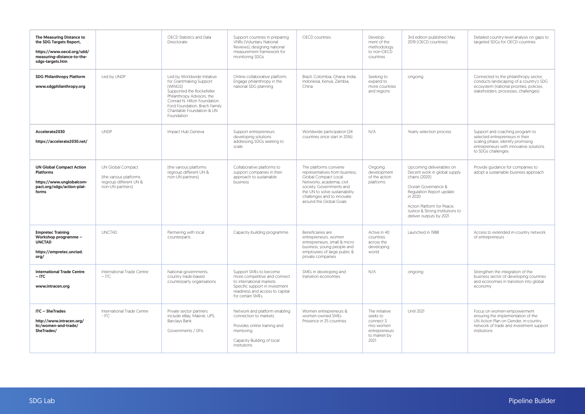| The Measuring Distance to<br>the SDG Targets Report,<br>https://www.oecd.org/sdd/<br>measuring-distance-to-the-<br>sdgs-targets.htm |                                                                                           | OECD Statistics and Data<br>Directorate                                                                                                                                                                                                   | Support countries in preparing<br><b>VNRs [Voluntary National</b><br>Reviews), designing national<br>measurement framework for<br>monitoring SDGs                             | OECD countries                                                                                                                                                                                                                      | Develop-<br>ment of the<br>methodology<br>to non-OECD<br>countries                            | 3rd edition published May<br>2019 [OECD countries]                                                                                                                                                                                  | Detailed country-level analysis on gaps to<br>targeted SDGs for OECD countries                                                                                           |
|-------------------------------------------------------------------------------------------------------------------------------------|-------------------------------------------------------------------------------------------|-------------------------------------------------------------------------------------------------------------------------------------------------------------------------------------------------------------------------------------------|-------------------------------------------------------------------------------------------------------------------------------------------------------------------------------|-------------------------------------------------------------------------------------------------------------------------------------------------------------------------------------------------------------------------------------|-----------------------------------------------------------------------------------------------|-------------------------------------------------------------------------------------------------------------------------------------------------------------------------------------------------------------------------------------|--------------------------------------------------------------------------------------------------------------------------------------------------------------------------|
| <b>SDG Philanthropy Platform</b><br>www.sdgphilanthropy.org                                                                         | Led by UNDP                                                                               | Led by Worldwide Initiative<br>for Grantmaking Support<br>[WINGS]<br>Supported the Rockefeller<br>Philanthropy Advisors, the<br>Conrad N. Hilton Foundation,<br>Ford Foundation, Brach Family<br>Charitable Foundation & UN<br>Foundation | Online collaborative platform;<br>Engage philanthropy in the<br>national SDG planning                                                                                         | Brazil, Colombia, Ghana, India,<br>Indonesia, Kenya, Zambia,<br>China                                                                                                                                                               | Seeking to<br>expand to<br>more countries<br>and regions                                      | ongoing                                                                                                                                                                                                                             | Connected to the philanthropy sector;<br>conducts landscaping of a country's SDG<br>ecosystem (national priorities, policies,<br>stakeholders, processes, challenges)    |
| Accelerate2030<br>https://accelerate2030.net/                                                                                       | <b>UNDP</b>                                                                               | Impact Hub Geneva                                                                                                                                                                                                                         | Support entrepreneurs<br>developing solutions<br>addressing SDGs seeking to<br>scale                                                                                          | Worldwide participation [24<br>countries since start in 2016]                                                                                                                                                                       | N/A                                                                                           | Yearly selection process                                                                                                                                                                                                            | Support and coaching program to<br>selected entrepreneurs in their<br>scaling phase, identify promising<br>entrepreneurs with innovative solutions<br>to SDGs challenges |
| <b>UN Global Compact Action</b><br><b>Platforms</b><br>https://www.unglobalcom-<br>pact.org/sdgs/action-plat-<br>forms              | UN Global Compact<br>[the various platforms<br>regroup different UN &<br>non-UN partners) | [the various platforms<br>regroup different UN &<br>non-UN partners)                                                                                                                                                                      | Collaborative platforms to<br>support companies in their<br>approach to sustainable<br>business                                                                               | The platforms convene<br>representatives from business,<br>Global Compact Local<br>Networks, academia, civil<br>society, Governments and<br>the UN to solve sustainability<br>challenges and to innovate<br>around the Global Goals | Ongoing<br>development<br>of the action<br>platforms                                          | Upcoming deliverables on<br>Decent work in global supply<br>chains [2020]<br>Ocean Governance &<br>Regulation Report update<br>in 2020<br>Action Platform for Peace.<br>Justice & Strong Institutions to<br>deliver outputs by 2021 | Provide guidance for companies to<br>adopt a sustainable business approach                                                                                               |
| <b>Empretec Training</b><br>Workshop programme -<br><b>UNCTAD</b><br>https://empretec.unctad.<br>ora/                               | <b>UNCTAD</b>                                                                             | Partnering with local<br>counterparts                                                                                                                                                                                                     | Capacity-building programme                                                                                                                                                   | Beneficiaries are<br>entrepreneurs, women<br>entrepreneurs, small & micro<br>business, young people and<br>employees of large public &<br>private companies                                                                         | Active in 40<br>countries<br>across the<br>developing<br>world                                | Launched in 1988                                                                                                                                                                                                                    | Access to extended in-country network<br>of entrepreneurs                                                                                                                |
| <b>International Trade Centre</b><br>$-$ ITC<br>www.intracen.org                                                                    | International Trade Centre<br>$-$ ITC.                                                    | National governments.<br>country trade-based<br>counterparty organisations                                                                                                                                                                | Support SMEs to become<br>more competitive and connect<br>to international markets.<br>Specific support in investment<br>readiness and access to capital<br>for certain SMEs. | SMEs in developing and<br>transition economies                                                                                                                                                                                      | N/A                                                                                           | ongoing                                                                                                                                                                                                                             | Strenathen the integration of the<br>business sector of developing countries<br>and economies in transition into global<br>economy                                       |
| <b>ITC - SheTrades</b><br>http://www.intracen.org/<br>itc/women-and-trade/<br>SheTrades/                                            | International Trade Centre<br>$-$ ITC                                                     | Private sector partners<br>include eBay, Maersk, UPS,<br>Barclays Bank<br>Governments / DFIs                                                                                                                                              | Network and platform enabling<br>connection to markets<br>Provides online training and<br>mentoring<br>Capacity-Building of local<br>institutions                             | Women entrepreneurs &<br>women-owned SMEs<br>Presence in 25 countries                                                                                                                                                               | The initiative<br>seeks to<br>connect 3<br>mio women<br>entrepreneurs<br>to market by<br>2021 | <b>Until 2021</b>                                                                                                                                                                                                                   | Focus on women-empowerment<br>ensuring the implementation of the<br>UN Action Plan on Gender, in-country<br>network of trade and investment support<br>institutions      |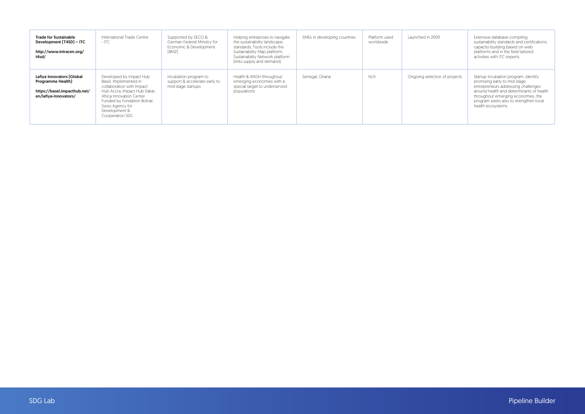| <b>Trade for Sustainable</b><br>Development (T4SD) - ITC<br>http://www.intracen.org/<br>t4sd/                  | International Trade Centre<br>$-$ ITC                                                                                                                                                                                            | Supported by SECO &<br>German Federal Ministry for<br>Economic & Development<br>[BMZ] | Helping entreprises to navigate<br>the sustainability landscape,<br>standards: Tools include the<br>Sustainability Map platform;<br>Sustainability Network platform<br>[links supply and demand] | SMEs in developing countries | Platform used<br>worldwide | Launched in 2009              | Extensive database compiling<br>sustainability standards and certifications.<br>capacity-building based on web<br>platforms and in the field tailored<br>activities with ITC experts                                                                         |
|----------------------------------------------------------------------------------------------------------------|----------------------------------------------------------------------------------------------------------------------------------------------------------------------------------------------------------------------------------|---------------------------------------------------------------------------------------|--------------------------------------------------------------------------------------------------------------------------------------------------------------------------------------------------|------------------------------|----------------------------|-------------------------------|--------------------------------------------------------------------------------------------------------------------------------------------------------------------------------------------------------------------------------------------------------------|
| Lafiya Innovators [Global<br><b>Programme Health]</b><br>https://basel.impacthub.net/<br>en/lafiva-innovators/ | Developed by Impact Hub<br>Basel, Implemented in<br>collaboration with Impact<br>Hub Accra, Impact Hub Dakar,<br>Africa Innovation Center<br>Funded by Fondation Botnar,<br>Swiss Agency for<br>Development &<br>Cooperation SDC | Incubation program to<br>support & accelerate early to<br>mid-stage startups          | Health & WASH throughout<br>emerging economies with a<br>special target to underserved<br>populations                                                                                            | Senegal, Ghana               | N/A                        | Ongoing selection of projects | Startup incubation program, identify<br>promising early to mid-stage<br>entrepreneurs addressing challenges<br>around health and determinants of health<br>throughout emerging economies, the<br>program seeks also to strengthen local<br>health ecosystems |